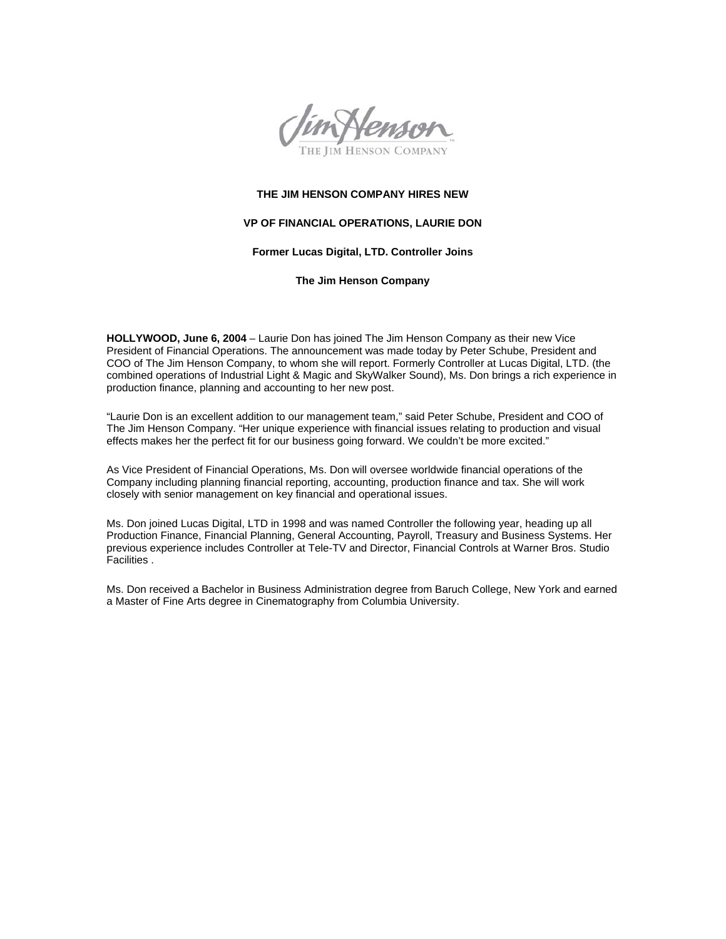

## **THE JIM HENSON COMPANY HIRES NEW**

## **VP OF FINANCIAL OPERATIONS, LAURIE DON**

## **Former Lucas Digital, LTD. Controller Joins**

**The Jim Henson Company** 

**HOLLYWOOD, June 6, 2004** – Laurie Don has joined The Jim Henson Company as their new Vice President of Financial Operations. The announcement was made today by Peter Schube, President and COO of The Jim Henson Company, to whom she will report. Formerly Controller at Lucas Digital, LTD. (the combined operations of Industrial Light & Magic and SkyWalker Sound), Ms. Don brings a rich experience in production finance, planning and accounting to her new post.

"Laurie Don is an excellent addition to our management team," said Peter Schube, President and COO of The Jim Henson Company. "Her unique experience with financial issues relating to production and visual effects makes her the perfect fit for our business going forward. We couldn't be more excited."

As Vice President of Financial Operations, Ms. Don will oversee worldwide financial operations of the Company including planning financial reporting, accounting, production finance and tax. She will work closely with senior management on key financial and operational issues.

Ms. Don joined Lucas Digital, LTD in 1998 and was named Controller the following year, heading up all Production Finance, Financial Planning, General Accounting, Payroll, Treasury and Business Systems. Her previous experience includes Controller at Tele-TV and Director, Financial Controls at Warner Bros. Studio Facilities .

Ms. Don received a Bachelor in Business Administration degree from Baruch College, New York and earned a Master of Fine Arts degree in Cinematography from Columbia University.